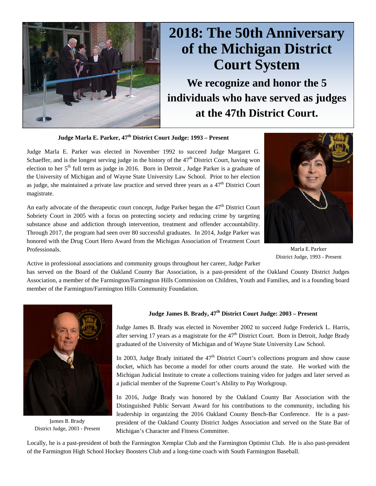

# **2018: The 50th Anniversary of the Michigan District Court System**

**We recognize and honor the 5 individuals who have served as judges at the 47th District Court.** 

**Judge Marla E. Parker, 47th District Court Judge: 1993 – Present** 

Judge Marla E. Parker was elected in November 1992 to succeed Judge Margaret G. Schaeffer, and is the longest serving judge in the history of the  $47<sup>th</sup>$  District Court, having won election to her  $5<sup>th</sup>$  full term as judge in 2016. Born in Detroit, Judge Parker is a graduate of the University of Michigan and of Wayne State University Law School. Prior to her election as judge, she maintained a private law practice and served three years as a  $47<sup>th</sup>$  District Court magistrate.

An early advocate of the therapeutic court concept, Judge Parker began the  $47<sup>th</sup>$  District Court Sobriety Court in 2005 with a focus on protecting society and reducing crime by targeting substance abuse and addiction through intervention, treatment and offender accountability. Through 2017, the program had seen over 80 successful graduates. In 2014, Judge Parker was honored with the Drug Court Hero Award from the Michigan Association of Treatment Court Professionals.



Marla E. Parker District Judge, 1993 - Present

Active in professional associations and community groups throughout her career, Judge Parker

has served on the Board of the Oakland County Bar Association, is a past-president of the Oakland County District Judges Association, a member of the Farmington/Farmington Hills Commission on Children, Youth and Families, and is a founding board member of the Farmington/Farmington Hills Community Foundation.



James B. Brady District Judge, 2003 - Present

## **Judge James B. Brady, 47th District Court Judge: 2003 – Present**

Judge James B. Brady was elected in November 2002 to succeed Judge Frederick L. Harris, after serving 17 years as a magistrate for the  $47<sup>th</sup>$  District Court. Born in Detroit, Judge Brady graduated of the University of Michigan and of Wayne State University Law School.

In 2003, Judge Brady initiated the  $47<sup>th</sup>$  District Court's collections program and show cause docket, which has become a model for other courts around the state. He worked with the Michigan Judicial Institute to create a collections training video for judges and later served as a judicial member of the Supreme Court's Ability to Pay Workgroup.

In 2016, Judge Brady was honored by the Oakland County Bar Association with the Distinguished Public Servant Award for his contributions to the community, including his leadership in organizing the 2016 Oakland County Bench-Bar Conference. He is a pastpresident of the Oakland County District Judges Association and served on the State Bar of Michigan's Character and Fitness Committee.

Locally, he is a past-president of both the Farmington Xemplar Club and the Farmington Optimist Club. He is also past-president of the Farmington High School Hockey Boosters Club and a long-time coach with South Farmington Baseball.